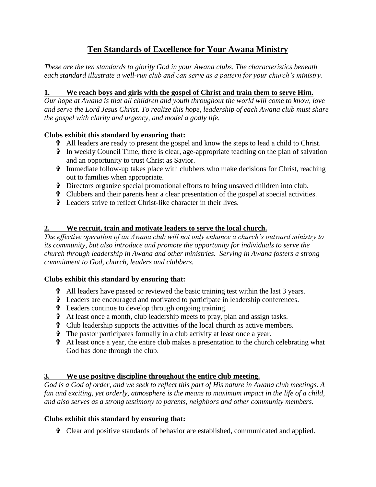# **Ten Standards of Excellence for Your Awana Ministry**

*These are the ten standards to glorify God in your Awana clubs. The characteristics beneath each standard illustrate a well-run club and can serve as a pattern for your church's ministry.*

### **1. We reach boys and girls with the gospel of Christ and train them to serve Him.**

*Our hope at Awana is that all children and youth throughout the world will come to know, love and serve the Lord Jesus Christ. To realize this hope, leadership of each Awana club must share the gospel with clarity and urgency, and model a godly life.*

## **Clubs exhibit this standard by ensuring that:**

- All leaders are ready to present the gospel and know the steps to lead a child to Christ.
- In weekly Council Time, there is clear, age-appropriate teaching on the plan of salvation and an opportunity to trust Christ as Savior.
- Immediate follow-up takes place with clubbers who make decisions for Christ, reaching out to families when appropriate.
- Directors organize special promotional efforts to bring unsaved children into club.
- Clubbers and their parents hear a clear presentation of the gospel at special activities.
- Leaders strive to reflect Christ-like character in their lives.

### **2. We recruit, train and motivate leaders to serve the local church.**

*The effective operation of an Awana club will not only enhance a church's outward ministry to its community, but also introduce and promote the opportunity for individuals to serve the church through leadership in Awana and other ministries. Serving in Awana fosters a strong commitment to God, church, leaders and clubbers.*

#### **Clubs exhibit this standard by ensuring that:**

- All leaders have passed or reviewed the basic training test within the last 3 years.
- Leaders are encouraged and motivated to participate in leadership conferences.
- Leaders continue to develop through ongoing training.
- At least once a month, club leadership meets to pray, plan and assign tasks.
- Club leadership supports the activities of the local church as active members.
- The pastor participates formally in a club activity at least once a year.
- At least once a year, the entire club makes a presentation to the church celebrating what God has done through the club.

#### **3. We use positive discipline throughout the entire club meeting.**

*God is a God of order, and we seek to reflect this part of His nature in Awana club meetings. A fun and exciting, yet orderly, atmosphere is the means to maximum impact in the life of a child, and also serves as a strong testimony to parents, neighbors and other community members.*

#### **Clubs exhibit this standard by ensuring that:**

Clear and positive standards of behavior are established, communicated and applied.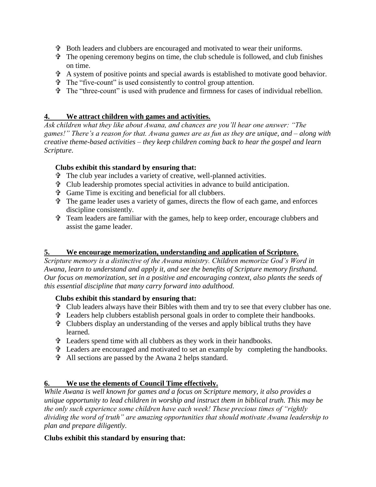- $\hat{\mathbf{\tau}}$  Both leaders and clubbers are encouraged and motivated to wear their uniforms.
- $\hat{\tau}$  The opening ceremony begins on time, the club schedule is followed, and club finishes on time.
- A system of positive points and special awards is established to motivate good behavior.
- The "five-count" is used consistently to control group attention.
- The "three-count" is used with prudence and firmness for cases of individual rebellion.

### **4. We attract children with games and activities.**

*Ask children what they like about Awana, and chances are you'll hear one answer: "The games!" There's a reason for that. Awana games are as fun as they are unique, and – along with creative theme-based activities – they keep children coming back to hear the gospel and learn Scripture.*

### **Clubs exhibit this standard by ensuring that:**

- The club year includes a variety of creative, well-planned activities.
- Club leadership promotes special activities in advance to build anticipation.
- Game Time is exciting and beneficial for all clubbers.
- The game leader uses a variety of games, directs the flow of each game, and enforces discipline consistently.
- Team leaders are familiar with the games, help to keep order, encourage clubbers and assist the game leader.

## **5. We encourage memorization, understanding and application of Scripture.**

*Scripture memory is a distinctive of the Awana ministry. Children memorize God's Word in Awana, learn to understand and apply it, and see the benefits of Scripture memory firsthand. Our focus on memorization, set in a positive and encouraging context, also plants the seeds of this essential discipline that many carry forward into adulthood.*

#### **Clubs exhibit this standard by ensuring that:**

- Club leaders always have their Bibles with them and try to see that every clubber has one.
- Leaders help clubbers establish personal goals in order to complete their handbooks.
- Clubbers display an understanding of the verses and apply biblical truths they have learned.
- Leaders spend time with all clubbers as they work in their handbooks.
- Leaders are encouraged and motivated to set an example by completing the handbooks.
- All sections are passed by the Awana 2 helps standard.

## **6. We use the elements of Council Time effectively.**

*While Awana is well known for games and a focus on Scripture memory, it also provides a unique opportunity to lead children in worship and instruct them in biblical truth. This may be the only such experience some children have each week! These precious times of "rightly dividing the word of truth" are amazing opportunities that should motivate Awana leadership to plan and prepare diligently.*

## **Clubs exhibit this standard by ensuring that:**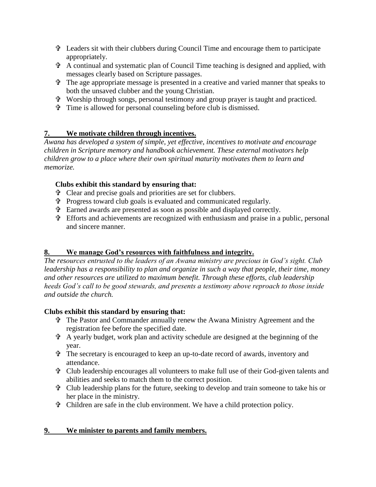- Leaders sit with their clubbers during Council Time and encourage them to participate appropriately.
- A continual and systematic plan of Council Time teaching is designed and applied, with messages clearly based on Scripture passages.
- The age appropriate message is presented in a creative and varied manner that speaks to both the unsaved clubber and the young Christian.
- Worship through songs, personal testimony and group prayer is taught and practiced.
- Time is allowed for personal counseling before club is dismissed.

## **7. We motivate children through incentives.**

*Awana has developed a system of simple, yet effective, incentives to motivate and encourage children in Scripture memory and handbook achievement. These external motivators help children grow to a place where their own spiritual maturity motivates them to learn and memorize.*

## **Clubs exhibit this standard by ensuring that:**

- Clear and precise goals and priorities are set for clubbers.
- Progress toward club goals is evaluated and communicated regularly.
- Earned awards are presented as soon as possible and displayed correctly.
- Efforts and achievements are recognized with enthusiasm and praise in a public, personal and sincere manner.

## **8. We manage God's resources with faithfulness and integrity.**

*The resources entrusted to the leaders of an Awana ministry are precious in God's sight. Club leadership has a responsibility to plan and organize in such a way that people, their time, money and other resources are utilized to maximum benefit. Through these efforts, club leadership heeds God's call to be good stewards, and presents a testimony above reproach to those inside and outside the church.*

## **Clubs exhibit this standard by ensuring that:**

- The Pastor and Commander annually renew the Awana Ministry Agreement and the registration fee before the specified date.
- A yearly budget, work plan and activity schedule are designed at the beginning of the year.
- The secretary is encouraged to keep an up-to-date record of awards, inventory and attendance.
- Club leadership encourages all volunteers to make full use of their God-given talents and abilities and seeks to match them to the correct position.
- Club leadership plans for the future, seeking to develop and train someone to take his or her place in the ministry.
- Children are safe in the club environment. We have a child protection policy.

## **9. We minister to parents and family members.**